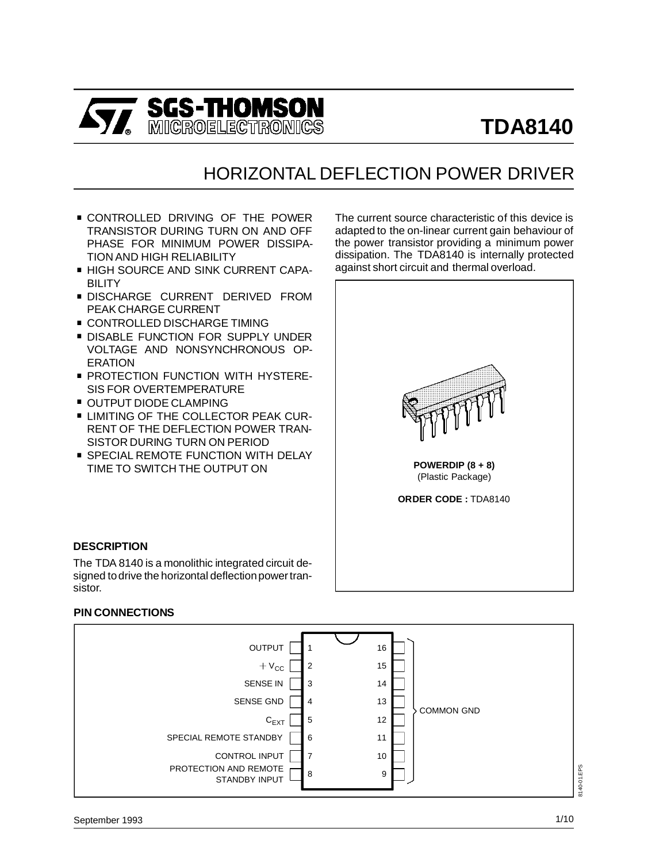

# HORIZONTAL DEFLECTION POWER DRIVER

- . CONTROLLED DRIVING OF THE POWER TRANSISTOR DURING TURN ON AND OFF PHASE FOR MINIMUM POWER DISSIPA-TION AND HIGH RELIABILITY
- . HIGH SOURCE AND SINK CURRENT CAPA-BILITY
- . DISCHARGE CURRENT DERIVED FROM PEAK CHARGE CURRENT
- **CONTROLLED DISCHARGE TIMING**
- **DISABLE FUNCTION FOR SUPPLY UNDER** VOLTAGE AND NONSYNCHRONOUS OP-ERATION
- **PROTECTION FUNCTION WITH HYSTERE-**SIS FOR OVERTEMPERATURE ■ PROTECTION FUNCTION \<br>SIS FOR OVERTEMPERATU<br>OUTPUT DIODE CLAMPING
- 
- OUTPUT DIODE CLAMPING<br>■ LIMITING OF THE COLLECTOR PEAK CUR-RENT OF THE DEFLECTION POWER TRAN-SISTOR DURING TURN ON PERIOD
- **SPECIAL REMOTE FUNCTION WITH DELAY** TIME TO SWITCH THE OUTPUT ON

The current source characteristic of this device is adapted to the on-linear current gain behaviour of the power transistor providing a minimum power dissipation. The TDA8140 is internally protected against short circuit and thermal overload.



#### **DESCRIPTION**

The TDA 8140 is a monolithic integrated circuit designed to drive the horizontal deflection power transistor.

#### **PIN CONNECTIONS**

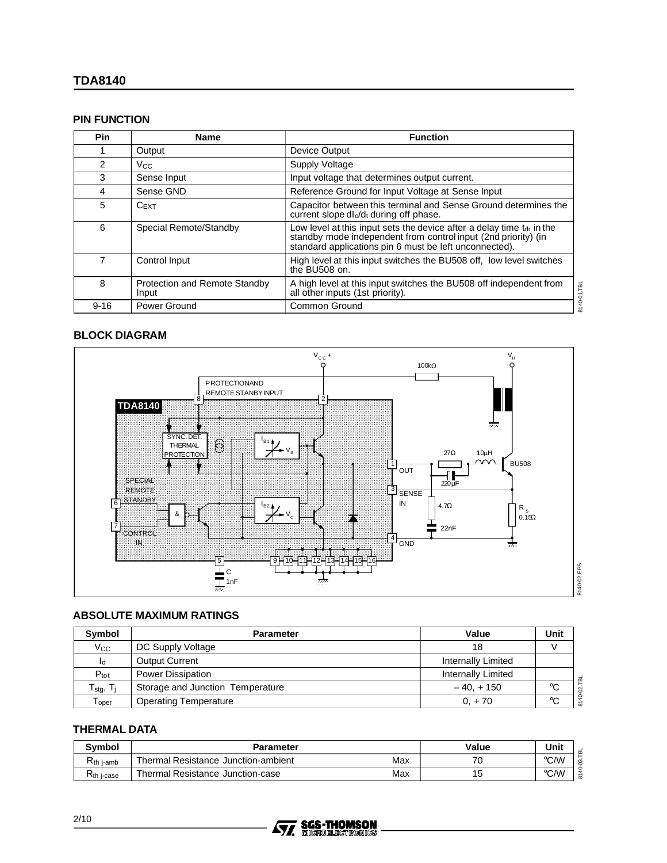#### **PIN FUNCTION**

| Pin      | <b>Name</b>                            | <b>Function</b>                                                                                                                                                                                     |
|----------|----------------------------------------|-----------------------------------------------------------------------------------------------------------------------------------------------------------------------------------------------------|
|          | Output                                 | Device Output                                                                                                                                                                                       |
| 2        | V <sub>CC</sub>                        | Supply Voltage                                                                                                                                                                                      |
| 3        | Sense Input                            | Input voltage that determines output current.                                                                                                                                                       |
| 4        | Sense GND                              | Reference Ground for Input Voltage at Sense Input                                                                                                                                                   |
| 5        | $C$ EXT                                | Capacitor between this terminal and Sense Ground determines the<br>current slope dl <sub>o</sub> /d <sub>t</sub> during off phase.                                                                  |
| 6        | Special Remote/Standby                 | Low level at this input sets the device after a delay time $tdr$ in the<br>standby mode independent from control input (2nd priority) (in<br>standard applications pin 6 must be left unconnected). |
| 7        | Control Input                          | High level at this input switches the BU508 off, low level switches<br>the BU508 on.                                                                                                                |
| 8        | Protection and Remote Standby<br>Input | A high level at this input switches the BU508 off independent from<br>3140-01.TBL<br>all other inputs (1st priority).                                                                               |
| $9 - 16$ | Power Ground                           | <b>Common Ground</b>                                                                                                                                                                                |

### **BLOCK DIAGRAM**



#### **ABSOLUTE MAXIMUM RATINGS**

| Symbol                            | <b>Parameter</b>                 | Value                     | Unit        |
|-----------------------------------|----------------------------------|---------------------------|-------------|
| $V_{\rm CC}$                      | DC Supply Voltage                | 18                        |             |
| Id                                | <b>Output Current</b>            | Internally Limited        |             |
| $P_{\text{tot}}$                  | <b>Power Dissipation</b>         | <b>Internally Limited</b> |             |
| $T_{\text{stg}}$ , $T_{\text{j}}$ | Storage and Junction Temperature | $-40, +150$               | °C          |
| $\mathsf{T}_{\mathsf{oper}}$      | Operating Temperature            | $0, +70$                  | $^{\circ}C$ |

### **THERMAL DATA**

| <b>Symbol</b>           | <b>Parameter</b>                           | Value | Unit               |
|-------------------------|--------------------------------------------|-------|--------------------|
| K <sub>th i-amb</sub>   | Max<br>Thermal Resistance Junction-ambient | 70    | $\rm ^{\circ}$ C/W |
| רז<br><b>Kth j-case</b> | Max<br>Thermal Resistance Junction-case    | 15    | $^{\circ}$ C.AM    |

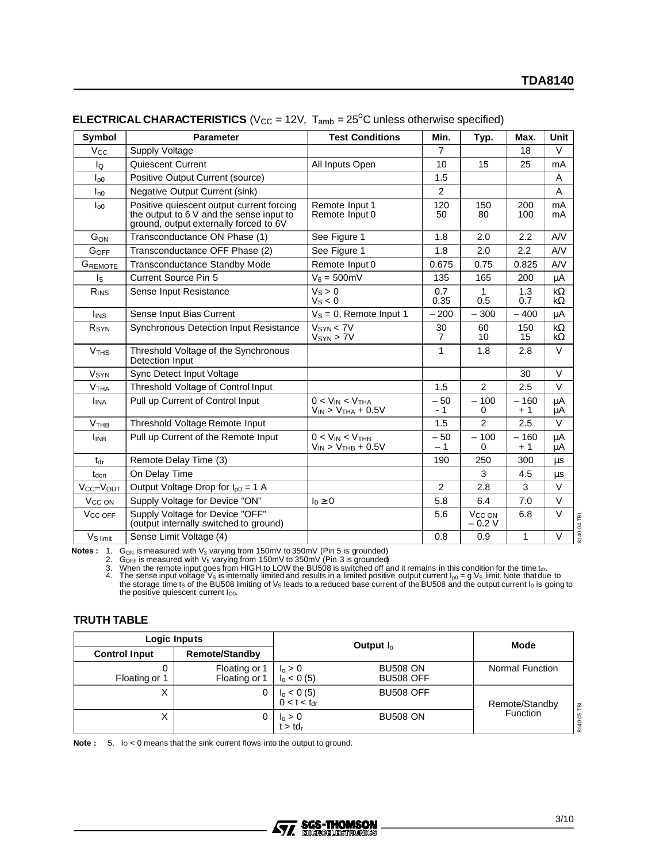| Symbol                 | <b>Parameter</b>                                                                                                                | <b>Test Conditions</b>                                | Min.           | Typ.                           | Max.           | Unit                   |
|------------------------|---------------------------------------------------------------------------------------------------------------------------------|-------------------------------------------------------|----------------|--------------------------------|----------------|------------------------|
| <b>V<sub>CC</sub></b>  | <b>Supply Voltage</b>                                                                                                           |                                                       | $\overline{7}$ |                                | 18             | $\vee$                 |
| Ιo                     | <b>Quiescent Current</b>                                                                                                        | All Inputs Open                                       | 10             | 15                             | 25             | mA                     |
| $I_{\text{p0}}$        | Positive Output Current (source)                                                                                                |                                                       | 1.5            |                                |                | A                      |
| $I_{n0}$               | <b>Negative Output Current (sink)</b>                                                                                           |                                                       | $\mathfrak{p}$ |                                |                | A                      |
| $I_{00}$               | Positive quiescent output current forcing<br>the output to 6 V and the sense input to<br>ground, output externally forced to 6V | Remote Input 1<br>Remote Input 0                      | 120<br>50      | 150<br>80                      | 200<br>100     | mA<br>mA               |
| GON                    | Transconductance ON Phase (1)                                                                                                   | See Figure 1                                          | 1.8            | 2.0                            | 2.2            | AV                     |
| GOFF                   | Transconductance OFF Phase (2)                                                                                                  | See Figure 1                                          | 1.8            | 2.0                            | 2.2            | AV                     |
| ${\sf G}_{\sf REMOTE}$ | Transconductance Standby Mode                                                                                                   | Remote Input 0                                        | 0.675          | 0.75                           | 0.825          | AV                     |
| $\mathsf{I}_5$         | <b>Current Source Pin 5</b>                                                                                                     | $V_6 = 500$ mV                                        | 135            | 165                            | 200            | μA                     |
| RINS                   | Sense Input Resistance                                                                                                          | $V_S > 0$<br>$V_s < 0$                                | 0.7<br>0.35    | 1<br>0.5                       | 1.3<br>0.7     | $k\Omega$<br>$k\Omega$ |
| l <sub>INS</sub>       | Sense Input Bias Current                                                                                                        | $V_s = 0$ , Remote Input 1                            | $-200$         | $-300$                         | $-400$         | μA                     |
| R <sub>SYN</sub>       | Synchronous Detection Input Resistance                                                                                          | $V_{SYN}$ < 7V<br>$V_{SYN}$ > 7V                      | 30<br>7        | 60<br>10                       | 150<br>15      | $k\Omega$<br>$k\Omega$ |
| $V$ THS                | Threshold Voltage of the Synchronous<br>Detection Input                                                                         |                                                       | 1              | 1.8                            | 2.8            | $\vee$                 |
| <b>V<sub>SYN</sub></b> | Sync Detect Input Voltage                                                                                                       |                                                       |                |                                | 30             | $\vee$                 |
| V <sub>THA</sub>       | Threshold Voltage of Control Input                                                                                              |                                                       | 1.5            | 2                              | 2.5            | $\vee$                 |
| <b>I</b> INA           | Pull up Current of Control Input                                                                                                | $0 < V_{IN} < V_{THA}$<br>$V_{IN}$ > $V_{THA}$ + 0.5V | $-50$<br>- 1   | $-100$<br>0                    | $-160$<br>$+1$ | μA<br>μA               |
| V <sub>THE</sub>       | Threshold Voltage Remote Input                                                                                                  |                                                       | 1.5            | 2                              | 2.5            | $\vee$                 |
| <b>I</b> INB           | Pull up Current of the Remote Input                                                                                             | $0 < V_{IN} < V_{THB}$<br>$V_{IN}$ > $V_{THB}$ + 0.5V | $-50$<br>$-1$  | $-100$<br>$\Omega$             | $-160$<br>$+1$ | μA<br>μA               |
| $t_{\rm dr}$           | Remote Delay Time (3)                                                                                                           |                                                       | 190            | 250                            | 300            | <b>us</b>              |
| t <sub>don</sub>       | On Delay Time                                                                                                                   |                                                       |                | 3                              | 4.5            | <b>us</b>              |
| Vcc-Vout               | Output Voltage Drop for $I_{p0} = 1$ A                                                                                          |                                                       | 2              | 2.8                            | 3              | $\vee$                 |
| V <sub>CC</sub> ON     | Supply Voltage for Device "ON"                                                                                                  | $I_0 \geq 0$                                          | 5.8            | 6.4                            | 7.0            | $\vee$                 |
| V <sub>CC</sub> OFF    | Supply Voltage for Device "OFF"<br>(output internally switched to ground)                                                       |                                                       | 5.6            | V <sub>CC</sub> ON<br>$-0.2$ V | 6.8            | $\vee$<br>8140-04.TBL  |
| $V_{\text{S limit}}$   | Sense Limit Voltage (4)                                                                                                         |                                                       | 0.8            | 0.9                            | $\mathbf{1}$   | $\vee$                 |

# **ELECTRICAL CHARACTERISTICS** (V<sub>CC</sub> = 12V,  $T_{amb}$  = 25<sup>o</sup>C unless otherwise specified)

**Notes :** 1. Gon is measured with V<sub>3</sub> varying from 150mV to 350mV (Pin 5 is grounded)<br>
2. Go<sub>FF</sub> is measured with V<sub>5</sub> varying from 150mV to 350mV (Pin 3 is grounded)<br>
3. When the remote input goes from HGH to LOW the BU

#### **TRUTH TABLE**

|                      | <b>Logic Inputs</b>            |                                          | Output $I_0$                        | Mode            |  |
|----------------------|--------------------------------|------------------------------------------|-------------------------------------|-----------------|--|
| <b>Control Input</b> | <b>Remote/Standby</b>          |                                          |                                     |                 |  |
| Floating or 1        | Floating or 1<br>Floating or 1 | $I_0 > 0$<br>$I_0 < 0 (5)$               | <b>BU508 ON</b><br><b>BU508 OFF</b> | Normal Function |  |
| ⌒                    | 0                              | $I_0 < 0 (5)$<br>0 < t < t <sub>dr</sub> | <b>BU508 OFF</b>                    | Remote/Standby  |  |
| ⌒                    |                                | $I_0 > 0$<br>$t > t$ dr                  | <b>BU508 ON</b>                     | Function        |  |

**Note :** 5. Io < 0 means that the sink current flows into the output to ground.

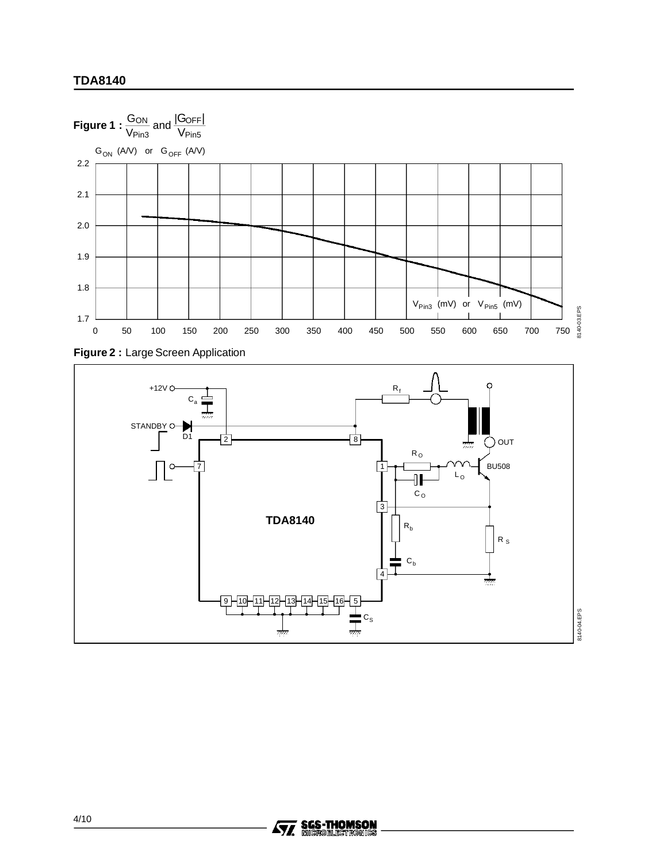





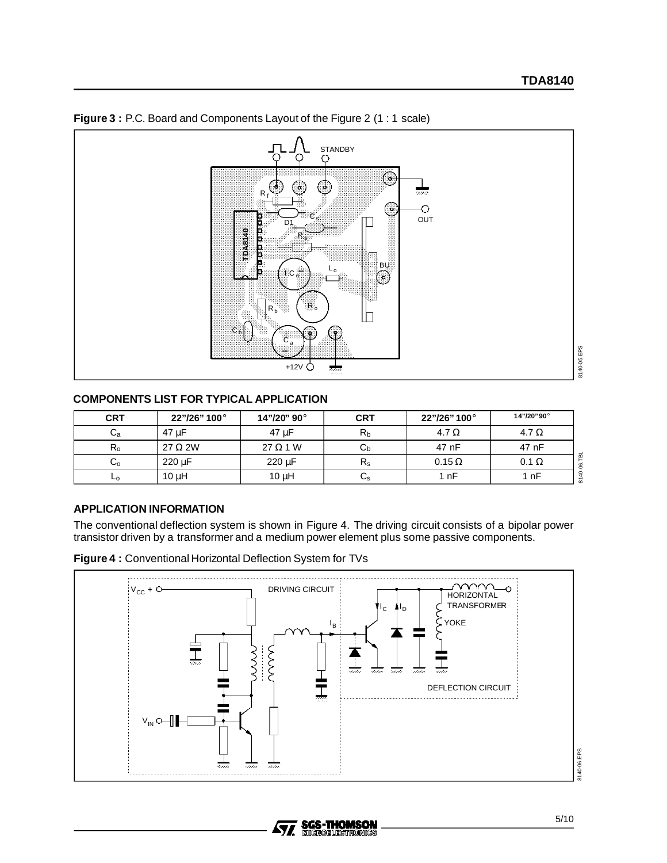

#### **Figure 3 :** P.C. Board and Components Layout of the Figure 2 (1 : 1 scale)

# **COMPONENTS LIST FOR TYPICAL APPLICATION**

| <b>CRT</b>              | 22"/26" 100°   | 14"/20" 90°     | <b>CRT</b>     | 22"/26" 100°  | 14"/20"90°   |
|-------------------------|----------------|-----------------|----------------|---------------|--------------|
| Сa                      | 47 µF          | 47 µF           | R <sub>b</sub> | 4.7 $\Omega$  | 4.7 $\Omega$ |
| $R_{o}$                 | $27 \Omega 2W$ | $27 \Omega 1 W$ | ∪h             | 47 nF         | 47 nF        |
| $\mathrm{C}_\mathrm{o}$ | 220 µF         | $220 \mu F$     | $R_{\rm s}$    | $0.15 \Omega$ | $0.1 \Omega$ |
| ⊾о                      | $10 \mu H$     | $10 \mu H$      | Us             | 1 nF          | . nF         |

#### **APPLICATION INFORMATION**

The conventional deflection system is shown in Figure 4. The driving circuit consists of a bipolar power transistor driven by a transformer and a medium power element plus some passive components.



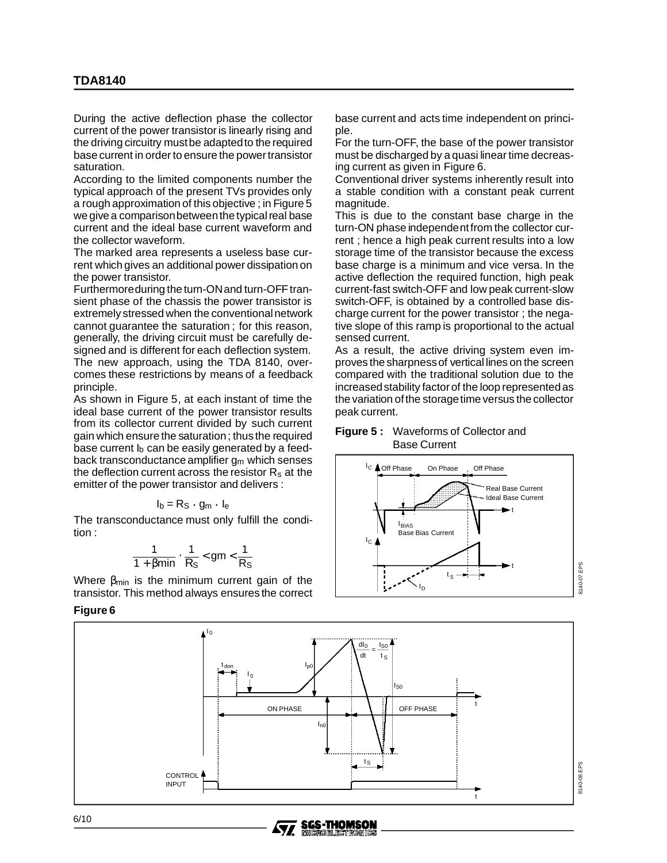During the active deflection phase the collector current of the power transistor is linearly rising and the driving circuitry mustbe adaptedto the required base current in order to ensure the power transistor saturation.

According to the limited components number the typical approach of the present TVs provides only a rough approximation of this objective ; in Figure 5 we give a comparisonbetweenthe typical real base current and the ideal base current waveform and the collector waveform.

The marked area represents a useless base current which gives an additional power dissipation on the power transistor.

Furthermore during the turn-ON and turn-OFF transient phase of the chassis the power transistor is extremely stressed when the conventionalnetwork cannot guarantee the saturation ; for this reason, generally, the driving circuit must be carefully designed and is different for each deflection system. The new approach, using the TDA 8140, overcomes these restrictions by means of a feedback principle.

As shown in Figure 5, at each instant of time the ideal base current of the power transistor results from its collector current divided by such current gain which ensure the saturation; thus the required base current  $I<sub>b</sub>$  can be easily generated by a feedback transconductance amplifier  $q_m$  which senses the deflection current across the resistor  $R_s$  at the emitter of the power transistor and delivers :

$$
I_b = R_S \cdot g_m \cdot I_e
$$

The transconductance must only fulfill the condition :

$$
\frac{1}{1+\beta min}\cdot\frac{1}{R_S}
$$

Where  $\beta_{\text{min}}$  is the minimum current gain of the transistor. This method always ensures the correct

**Figure 6**

base current and acts time independent on principle.

For the turn-OFF, the base of the power transistor must be discharged by a quasi linear time decreasing current as given in Figure 6.

Conventional driver systems inherently result into a stable condition with a constant peak current magnitude.

This is due to the constant base charge in the turn-ON phase independentfrom the collector current ; hence a high peak current results into a low storage time of the transistor because the excess base charge is a minimum and vice versa. In the active deflection the required function, high peak current-fast switch-OFF and low peak current-slow switch-OFF, is obtained by a controlled base discharge current for the power transistor ; the negative slope of this ramp is proportional to the actual sensed current.

As a result, the active driving system even improves the sharpnessof vertical lines on the screen compared with the traditional solution due to the increased stability factor of the loop represented as the variation of the storage time versus the collector peak current.

#### **Figure 5 :** Waveforms of Collector and Base Current





**SGS-THOMSON** 

**MICROELECTRON** 

57,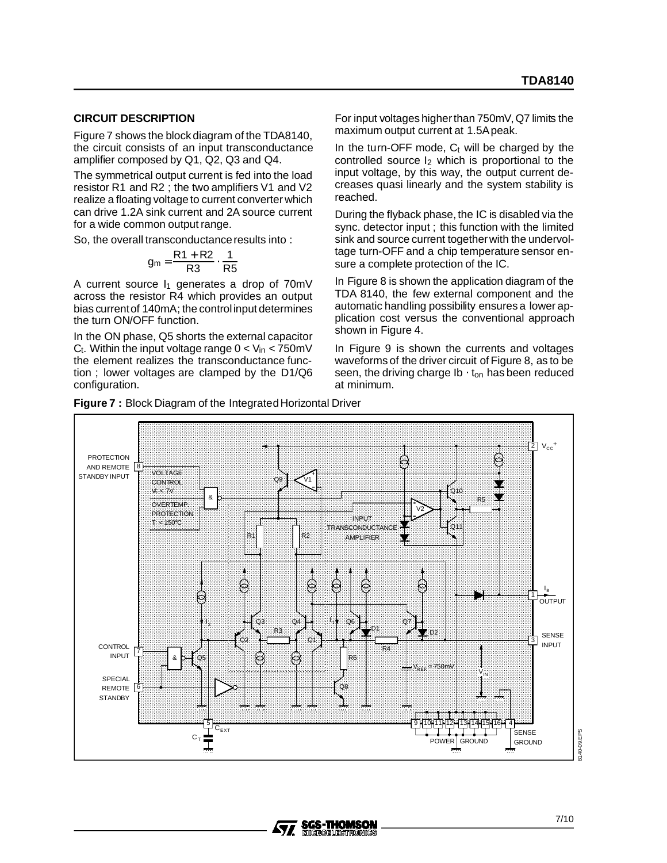#### **CIRCUIT DESCRIPTION**

Figure 7 shows the block diagram of the TDA8140, the circuit consists of an input transconductance amplifier composed by Q1, Q2, Q3 and Q4.

The symmetrical output current is fed into the load resistor R1 and R2 ; the two amplifiers V1 and V2 realize a floating voltage to current converter which can drive 1.2A sink current and 2A source current for a wide common output range.

So, the overall transconductanceresults into :

$$
g_m = \frac{R1 + R2}{R3} \cdot \frac{1}{R5}
$$

A current source  $I_1$  generates a drop of 70mV across the resistor R4 which provides an output bias currentof 140mA; the controlinput determines the turn ON/OFF function.

In the ON phase, Q5 shorts the external capacitor  $C_t$ . Within the input voltage range  $0 < V_{in} < 750$  mV the element realizes the transconductance function ; lower voltages are clamped by the D1/Q6 configuration.

For input voltages higherthan 750mV, Q7 limits the maximum output current at 1.5Apeak.

In the turn-OFF mode,  $C_t$  will be charged by the controlled source  $I_2$  which is proportional to the input voltage, by this way, the output current decreases quasi linearly and the system stability is reached.

During the flyback phase, the IC is disabled via the sync. detector input ; this function with the limited sink and source current togetherwith the undervoltage turn-OFF and a chip temperature sensor ensure a complete protection of the IC.

In Figure 8 is shown the application diagram of the TDA 8140, the few external component and the automatic handling possibility ensures a lower application cost versus the conventional approach shown in Figure 4.

In Figure 9 is shown the currents and voltages waveforms of the driver circuit of Figure 8, as to be seen, the driving charge  $Ib \cdot t_{on}$  has been reduced at minimum.



**SGS-THOMSON** 

**MICROFLECTRONICS** 

477

**Figure 7:** Block Diagram of the Integrated Horizontal Driver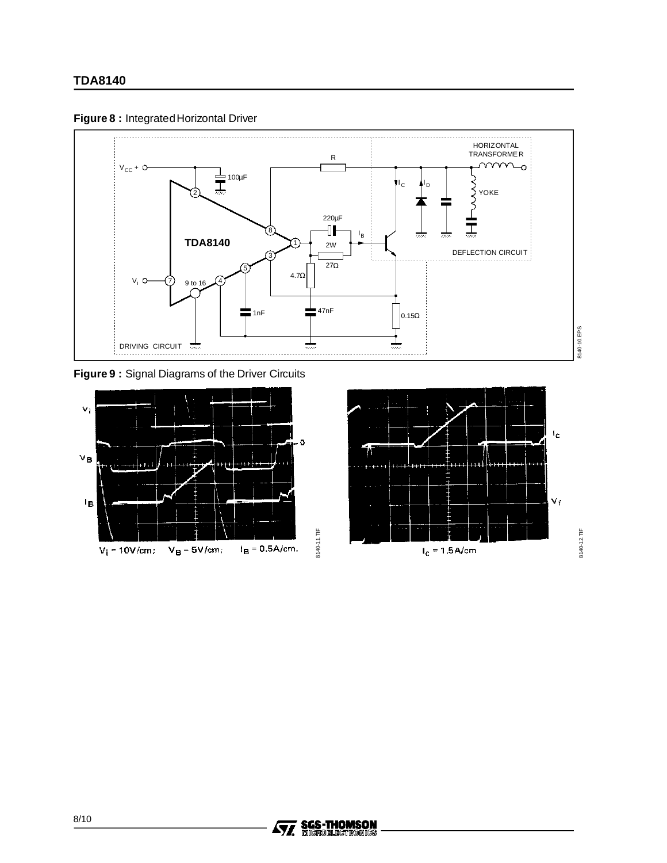



**Figure 9 :** Signal Diagrams of the Driver Circuits



**Ay, SGS-THOMSON**<br>**Ay, Microelligtromics**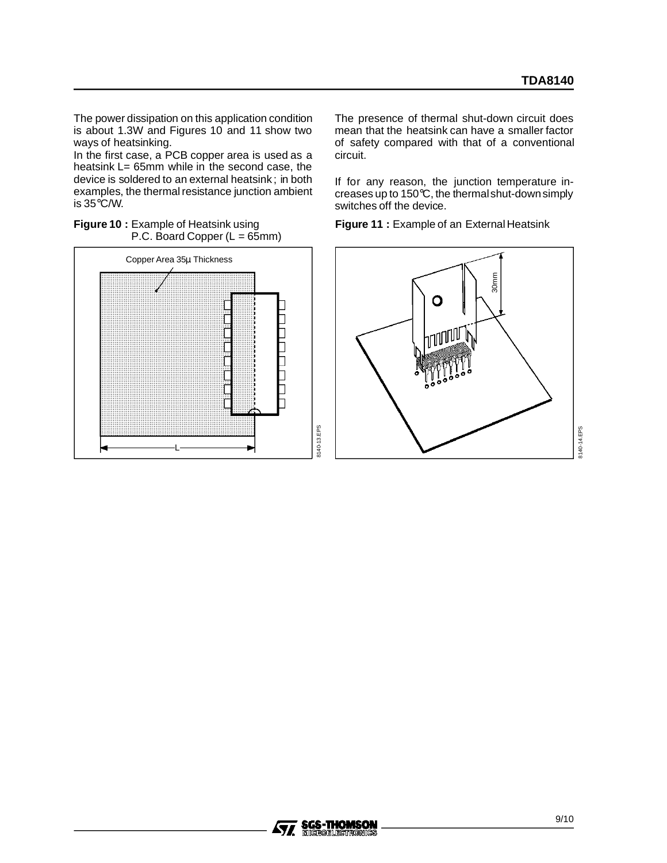The power dissipation on this application condition is about 1.3W and Figures 10 and 11 show two ways of heatsinking.

In the first case, a PCB copper area is used as a heatsink L= 65mm while in the second case, the device is soldered to an external heatsink ; in both examples, the thermal resistance junction ambient is 35°C/W.





The presence of thermal shut-down circuit does mean that the heatsink can have a smaller factor of safety compared with that of a conventional circuit.

If for any reason, the junction temperature increases up to 150°C, the thermalshut-downsimply switches off the device.

**Figure 11 :** Example of an External Heatsink